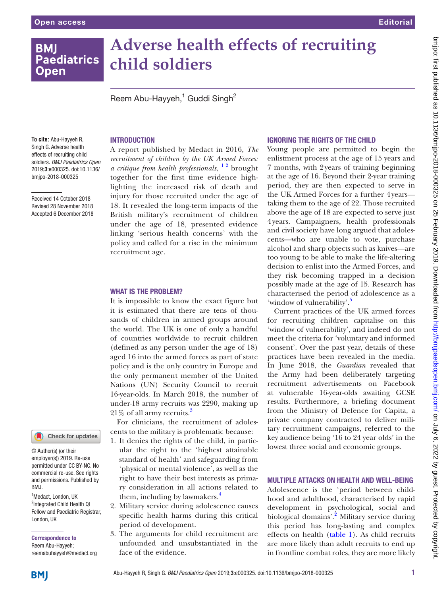# **BMI Paediatrics Open**

# **Adverse health effects of recruiting child soldiers**

Reem Abu-Hayyeh,<sup>1</sup> Guddi Singh<sup>2</sup>

#### **To cite:** Abu-Hayyeh R, Singh G. Adverse health effects of recruiting child soldiers. *BMJ Paediatrics Open* 2019;3:e000325. doi:10.1136/ bmjpo-2018-000325

Received 14 October 2018 Revised 28 November 2018 Accepted 6 December 2018

# Check for updates

© Author(s) (or their employer(s)) 2019. Re-use permitted under CC BY-NC. No commercial re-use. See rights and permissions. Published by RM<sub>J</sub>

<sup>1</sup>Medact, London, UK <sup>2</sup>Integrated Child Health QI Fellow and Paediatric Registrar, London, UK

Correspondence to Reem Abu-Hayyeh; reemabuhayyeh@medact.org

# **INTRODUCTION**

A report published by Medact in 2016, *The recruitment of children by the UK Armed Forces: a critique from health professionals*, <sup>1</sup><sup>2</sup> brought together for the first time evidence highlighting the increased risk of death and injury for those recruited under the age of 18. It revealed the long-term impacts of the British military's recruitment of children under the age of 18, presented evidence linking 'serious health concerns' with the policy and called for a rise in the minimum recruitment age.

#### WHAT IS THE PROBLEM?

It is impossible to know the exact figure but it is estimated that there are tens of thousands of children in armed groups around the world. The UK is one of only a handful of countries worldwide to recruit children (defined as any person under the age of 18) aged 16 into the armed forces as part of state policy and is the only country in Europe and the only permanent member of the United Nations (UN) Security Council to recruit 16-year-olds. In March 2018, the number of under-18 army recruits was 2290, making up 21\% of all army recruits.<sup>3</sup>

For clinicians, the recruitment of adolescents to the military is problematic because:

- 1. It denies the rights of the child, in particular the right to the 'highest attainable standard of health' and safeguarding from 'physical or mental violence', as well as the right to have their best interests as primary consideration in all actions related to them, including by lawmakers.<sup>[4](#page-2-2)</sup>
- 2. Military service during adolescence causes specific health harms during this critical period of development.
- 3. The arguments for child recruitment are unfounded and unsubstantiated in the face of the evidence.

### Ignoring the rights of the child

Young people are permitted to begin the enlistment process at the age of 15 years and 7 months, with 2years of training beginning at the age of 16. Beyond their 2-year training period, they are then expected to serve in the UK Armed Forces for a further 4years taking them to the age of 22. Those recruited above the age of 18 are expected to serve just 4years. Campaigners, health professionals and civil society have long argued that adolescents—who are unable to vote, purchase alcohol and sharp objects such as knives—are too young to be able to make the life-altering decision to enlist into the Armed Forces, and they risk becoming trapped in a decision possibly made at the age of 15. Research has characterised the period of adolescence as a 'window of vulnerability'.

Current practices of the UK armed forces for recruiting children capitalise on this 'window of vulnerability', and indeed do not meet the criteria for 'voluntary and informed consent'. Over the past year, details of these practices have been revealed in the media. In June 2018, the *Guardian* revealed that the Army had been deliberately targeting recruitment advertisements on Facebook at vulnerable 16-year-olds awaiting GCSE results. Furthermore, a briefing document from the Ministry of Defence for Capita, a private company contracted to deliver military recruitment campaigns, referred to the key audience being '16 to 24 year olds' in the lowest three social and economic groups.

# Multiple attacks on health and well-being

Adolescence is the 'period between childhood and adulthood, characterised by rapid development in psychological, social and biological domains'.<sup>[2](#page-2-4)</sup> Military service during this period has long-lasting and complex effects on health [\(table](#page-1-0) 1). As child recruits are more likely than adult recruits to end up in frontline combat roles, they are more likely

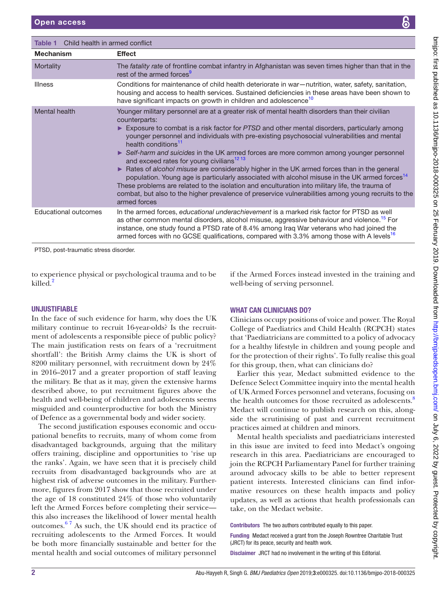<span id="page-1-0"></span>

| Child health in armed conflict<br>Table 1 |                                                                                                                                                                                                                                                                                                                                                                                                                                                                                                                                                                                                                                                                                                                                                                                                                                                                                                                                          |
|-------------------------------------------|------------------------------------------------------------------------------------------------------------------------------------------------------------------------------------------------------------------------------------------------------------------------------------------------------------------------------------------------------------------------------------------------------------------------------------------------------------------------------------------------------------------------------------------------------------------------------------------------------------------------------------------------------------------------------------------------------------------------------------------------------------------------------------------------------------------------------------------------------------------------------------------------------------------------------------------|
| <b>Mechanism</b>                          | <b>Effect</b>                                                                                                                                                                                                                                                                                                                                                                                                                                                                                                                                                                                                                                                                                                                                                                                                                                                                                                                            |
| Mortality                                 | The <i>fatality rate</i> of frontline combat infantry in Afghanistan was seven times higher than that in the<br>rest of the armed forces <sup>9</sup>                                                                                                                                                                                                                                                                                                                                                                                                                                                                                                                                                                                                                                                                                                                                                                                    |
| <b>Illness</b>                            | Conditions for maintenance of child health deteriorate in war-nutrition, water, safety, sanitation,<br>housing and access to health services. Sustained deficiencies in these areas have been shown to<br>have significant impacts on growth in children and adolescence <sup>10</sup>                                                                                                                                                                                                                                                                                                                                                                                                                                                                                                                                                                                                                                                   |
| Mental health                             | Younger military personnel are at a greater risk of mental health disorders than their civilian<br>counterparts:<br>Exposure to combat is a risk factor for PTSD and other mental disorders, particularly among<br>younger personnel and individuals with pre-existing psychosocial vulnerabilities and mental<br>health conditions <sup>11</sup><br>Self-harm and suicides in the UK armed forces are more common among younger personnel<br>and exceed rates for young civilians <sup>12 13</sup><br>Rates of alcohol misuse are considerably higher in the UK armed forces than in the general<br>population. Young age is particularly associated with alcohol misuse in the UK armed forces <sup>14</sup><br>These problems are related to the isolation and enculturation into military life, the trauma of<br>combat, but also to the higher prevalence of preservice vulnerabilities among young recruits to the<br>armed forces |
| Educational outcomes                      | In the armed forces, educational underachievement is a marked risk factor for PTSD as well<br>as other common mental disorders, alcohol misuse, aggressive behaviour and violence. <sup>15</sup> For<br>instance, one study found a PTSD rate of 8.4% among Iraq War veterans who had joined the<br>armed forces with no GCSE qualifications, compared with 3.3% among those with A levels <sup>16</sup>                                                                                                                                                                                                                                                                                                                                                                                                                                                                                                                                 |

PTSD, post-traumatic stress disorder.

to experience physical or psychological trauma and to be killed.<sup>[2](#page-2-4)</sup>

# **UNJUSTIFIABLE**

In the face of such evidence for harm, why does the UK military continue to recruit 16-year-olds? Is the recruitment of adolescents a responsible piece of public policy? The main justification rests on fears of a 'recruitment shortfall': the British Army claims the UK is short of 8200 military personnel, with recruitment down by 24% in 2016–2017 and a greater proportion of staff leaving the military. Be that as it may, given the extensive harms described above, to put recruitment figures above the health and well-being of children and adolescents seems misguided and counterproductive for both the Ministry of Defence as a governmental body and wider society.

The second justification espouses economic and occupational benefits to recruits, many of whom come from disadvantaged backgrounds, arguing that the military offers training, discipline and opportunities to 'rise up the ranks'. Again, we have seen that it is precisely child recruits from disadvantaged backgrounds who are at highest risk of adverse outcomes in the military. Furthermore, figures from 2017 show that those recruited under the age of 18 constituted 24% of those who voluntarily left the Armed Forces before completing their service this also increases the likelihood of lower mental health outcomes. $67$  As such, the UK should end its practice of recruiting adolescents to the Armed Forces. It would be both more financially sustainable and better for the mental health and social outcomes of military personnel

if the Armed Forces instead invested in the training and well-being of serving personnel.

# WHAT CAN CLINICIANS DO?

Clinicians occupy positions of voice and power. The Royal College of Paediatrics and Child Health (RCPCH) states that 'Paediatricians are committed to a policy of advocacy for a healthy lifestyle in children and young people and for the protection of their rights'. To fully realise this goal for this group, then, what can clinicians do?

Earlier this year, Medact submitted evidence to the Defence Select Committee inquiry into the mental health of UK Armed Forces personnel and veterans, focusing on the health outcomes for those recruited as adolescents.<sup>[8](#page-2-6)</sup> Medact will continue to publish research on this, alongside the scrutinising of past and current recruitment practices aimed at children and minors.

Mental health specialists and paediatricians interested in this issue are invited to feed into Medact's ongoing research in this area. Paediatricians are encouraged to join the RCPCH Parliamentary Panel for further training around advocacy skills to be able to better represent patient interests. Interested clinicians can find informative resources on these health impacts and policy updates, as well as actions that health professionals can take, on the Medact website.

Contributors The two authors contributed equally to this paper.

Funding Medact received a grant from the Joseph Rowntree Charitable Trust (JRCT) for its peace, security and health work.

Disclaimer JRCT had no involvement in the writing of this Editorial.